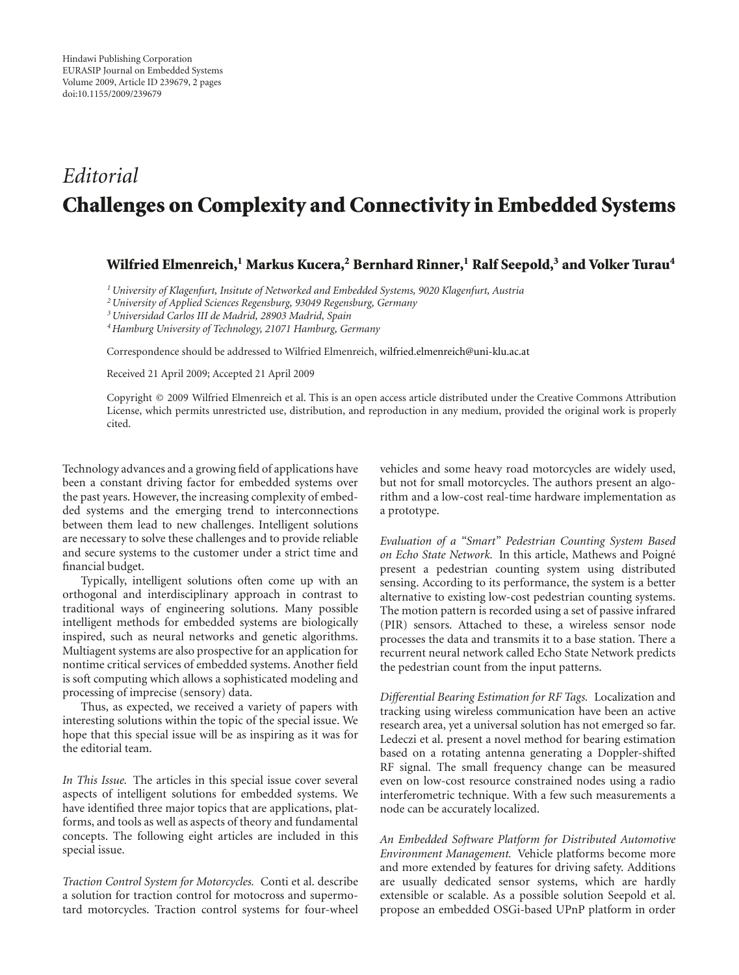## *Editorial* **Challenges on Complexity and Connectivity in Embedded Systems**

## **Wilfried Elmenreich,1 Markus Kucera,2 Bernhard Rinner,1 Ralf Seepold,3 and Volker Turau4**

*1University of Klagenfurt, Insitute of Networked and Embedded Systems, 9020 Klagenfurt, Austria*

*2University of Applied Sciences Regensburg, 93049 Regensburg, Germany*

*3Universidad Carlos III de Madrid, 28903 Madrid, Spain*

*4Hamburg University of Technology, 21071 Hamburg, Germany*

Correspondence should be addressed to Wilfried Elmenreich, wilfried.elmenreich@uni-klu.ac.at

Received 21 April 2009; Accepted 21 April 2009

Copyright © 2009 Wilfried Elmenreich et al. This is an open access article distributed under the Creative Commons Attribution License, which permits unrestricted use, distribution, and reproduction in any medium, provided the original work is properly cited.

Technology advances and a growing field of applications have been a constant driving factor for embedded systems over the past years. However, the increasing complexity of embedded systems and the emerging trend to interconnections between them lead to new challenges. Intelligent solutions are necessary to solve these challenges and to provide reliable and secure systems to the customer under a strict time and financial budget.

Typically, intelligent solutions often come up with an orthogonal and interdisciplinary approach in contrast to traditional ways of engineering solutions. Many possible intelligent methods for embedded systems are biologically inspired, such as neural networks and genetic algorithms. Multiagent systems are also prospective for an application for nontime critical services of embedded systems. Another field is soft computing which allows a sophisticated modeling and processing of imprecise (sensory) data.

Thus, as expected, we received a variety of papers with interesting solutions within the topic of the special issue. We hope that this special issue will be as inspiring as it was for the editorial team.

*In This Issue.* The articles in this special issue cover several aspects of intelligent solutions for embedded systems. We have identified three major topics that are applications, platforms, and tools as well as aspects of theory and fundamental concepts. The following eight articles are included in this special issue.

*Traction Control System for Motorcycles.* Conti et al. describe a solution for traction control for motocross and supermotard motorcycles. Traction control systems for four-wheel

vehicles and some heavy road motorcycles are widely used, but not for small motorcycles. The authors present an algorithm and a low-cost real-time hardware implementation as a prototype.

*Evaluation of a "Smart" Pedestrian Counting System Based on Echo State Network.* In this article, Mathews and Poigne´ present a pedestrian counting system using distributed sensing. According to its performance, the system is a better alternative to existing low-cost pedestrian counting systems. The motion pattern is recorded using a set of passive infrared (PIR) sensors. Attached to these, a wireless sensor node processes the data and transmits it to a base station. There a recurrent neural network called Echo State Network predicts the pedestrian count from the input patterns.

*Differential Bearing Estimation for RF Tags.* Localization and tracking using wireless communication have been an active research area, yet a universal solution has not emerged so far. Ledeczi et al. present a novel method for bearing estimation based on a rotating antenna generating a Doppler-shifted RF signal. The small frequency change can be measured even on low-cost resource constrained nodes using a radio interferometric technique. With a few such measurements a node can be accurately localized.

*An Embedded Software Platform for Distributed Automotive Environment Management.* Vehicle platforms become more and more extended by features for driving safety. Additions are usually dedicated sensor systems, which are hardly extensible or scalable. As a possible solution Seepold et al. propose an embedded OSGi-based UPnP platform in order